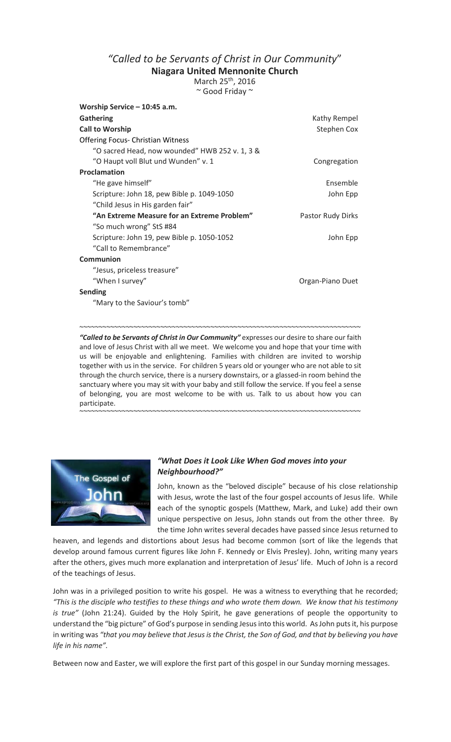## *"Called to be Servants of Christ in Our Community*"

**Niagara United Mennonite Church** 

March 25<sup>th</sup>, 2016 ~ Good Friday ~

| Worship Service - 10:45 a.m.                   |                   |
|------------------------------------------------|-------------------|
| <b>Gathering</b>                               | Kathy Rempel      |
| <b>Call to Worship</b>                         | Stephen Cox       |
| <b>Offering Focus- Christian Witness</b>       |                   |
| "O sacred Head, now wounded" HWB 252 v. 1, 3 & |                   |
| "O Haupt voll Blut und Wunden" v. 1            | Congregation      |
| Proclamation                                   |                   |
| "He gave himself"                              | Ensemble          |
| Scripture: John 18, pew Bible p. 1049-1050     | John Epp          |
| "Child Jesus in His garden fair"               |                   |
| "An Extreme Measure for an Extreme Problem"    | Pastor Rudy Dirks |
| "So much wrong" StS #84                        |                   |
| Scripture: John 19, pew Bible p. 1050-1052     | John Epp          |
| "Call to Remembrance"                          |                   |
| Communion                                      |                   |
| "Jesus, priceless treasure"                    |                   |
| "When I survey"                                | Organ-Piano Duet  |
| <b>Sending</b>                                 |                   |
| "Mary to the Saviour's tomb"                   |                   |
|                                                |                   |

"Called to be Servants of Christ in Our Community" expresses our desire to share our faith and love of Jesus Christ with all we meet. We welcome you and hope that your time with us will be enjoyable and enlightening. Families with children are invited to worship together with us in the service. For children 5 years old or younger who are not able to sit through the church service, there is a nursery downstairs, or a glassed-in room behind the sanctuary where you may sit with your baby and still follow the service. If you feel a sense of belonging, you are most welcome to be with us. Talk to us about how you can participate.

~~~~~~~~~~~~~~~~~~~~~~~~~~~~~~~~~~~~~~~~~~~~~~~~~~~~~~~~~~~~~~~~~~~~~~~~~

~~~~~~~~~~~~~~~~~~~~~~~~~~~~~~~~~~~~~~~~~~~~~~~~~~~~~~~~~~~~~~~~~~~~~~~~~



## *"What Does it Look Like When God moves into your Neighbourhood?"*

John, known as the "beloved disciple" because of his close relationship with Jesus, wrote the last of the four gospel accounts of Jesus life. While each of the synoptic gospels (Matthew, Mark, and Luke) add their own unique perspective on Jesus, John stands out from the other three. By the time John writes several decades have passed since Jesus returned to

heaven, and legends and distortions about Jesus had become common (sort of like the legends that develop around famous current figures like John F. Kennedy or Elvis Presley). John, writing many years after the others, gives much more explanation and interpretation of Jesus' life. Much of John is a record of the teachings of Jesus.

John was in a privileged position to write his gospel. He was a witness to everything that he recorded; *"This is the disciple who testifies to these things and who wrote them down. We know that his testimony is true"* (John 21:24). Guided by the Holy Spirit, he gave generations of people the opportunity to understand the "big picture" of God's purpose in sending Jesus into this world. As John puts it, his purpose in writing was *"that you may believe that Jesus is the Christ, the Son of God, and that by believing you have life in his name".* 

Between now and Easter, we will explore the first part of this gospel in our Sunday morning messages.